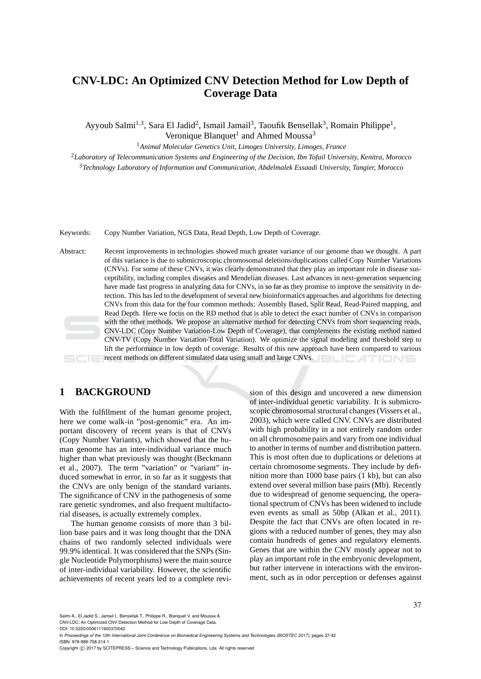# **CNV-LDC: An Optimized CNV Detection Method for Low Depth of Coverage Data**

Ayyoub Salmi<sup>1,3</sup>, Sara El Jadid<sup>2</sup>, Ismail Jamail<sup>3</sup>, Taoufik Bensellak<sup>3</sup>, Romain Philippe<sup>1</sup>, Veronique Blanquet<sup>1</sup> and Ahmed Moussa<sup>3</sup>

<sup>1</sup>*Animal Molecular Genetics Unit, Limoges University, Limoges, France*

<sup>2</sup>*Laboratory of Telecommunication Systems and Engineering of the Decision, Ibn Tofail University, Kenitra, Morocco* <sup>3</sup>*Technology Laboratory of Information and Communication, Abdelmalek Essaadi University, Tangier, Morocco*

Keywords: Copy Number Variation, NGS Data, Read Depth, Low Depth of Coverage.

Abstract: Recent improvements in technologies showed much greater variance of our genome than we thought. A part of this variance is due to submicroscopic chromosomal deletions/duplications called Copy Number Variations (CNVs). For some of these CNVs, it was clearly demonstrated that they play an important role in disease susceptibility, including complex diseases and Mendelian diseases. Last advances in next-generation sequencing have made fast progress in analyzing data for CNVs, in so far as they promise to improve the sensitivity in detection. This has led to the development of several new bioinformatics approaches and algorithms for detecting CNVs from this data for the four common methods: Assembly Based, Split Read, Read-Paired mapping, and Read Depth. Here we focus on the RD method that is able to detect the exact number of CNVs in comparison with the other methods. We propose an alternative method for detecting CNVs from short sequencing reads, CNV-LDC (Copy Number Variation-Low Depth of Coverage), that complements the existing method named CNV-TV (Copy Number Variation-Total Variation). We optimize the signal modeling and threshold step to lift the performance in low depth of coverage. Results of this new approach have been compared to various recent methods on different simulated data using small and large CNVs. TIONS

## **1 BACKGROUND**

With the fulfillment of the human genome project, here we come walk-in "post-genomic" era. An important discovery of recent years is that of CNVs (Copy Number Variants), which showed that the human genome has an inter-individual variance much higher than what previously was thought (Beckmann et al., 2007). The term "variation" or "variant" induced somewhat in error, in so far as it suggests that the CNVs are only benign of the standard variants. The significance of CNV in the pathogenesis of some rare genetic syndromes, and also frequent multifactorial diseases, is actually extremely complex.

The human genome consists of more than 3 billion base pairs and it was long thought that the DNA chains of two randomly selected individuals were 99.9% identical. It was considered that the SNPs (Single Nucleotide Polymorphisms) were the main source of inter-individual variability. However, the scientific achievements of recent years led to a complete revi-

sion of this design and uncovered a new dimension of inter-individual genetic variability. It is submicroscopic chromosomal structural changes (Vissers et al., 2003), which were called CNV. CNVs are distributed with high probability in a not entirely random order on all chromosome pairs and vary from one individual to another in terms of number and distribution pattern. This is most often due to duplications or deletions at certain chromosome segments. They include by definition more than 1000 base pairs (1 kb), but can also extend over several million base pairs (Mb). Recently due to widespread of genome sequencing, the operational spectrum of CNVs has been widened to include even events as small as 50bp (Alkan et al., 2011). Despite the fact that CNVs are often located in regions with a reduced number of genes, they may also contain hundreds of genes and regulatory elements. Genes that are within the CNV mostly appear not to play an important role in the embryonic development, but rather intervene in interactions with the environment, such as in odor perception or defenses against

Salmi A., El Jadid S., Jamail I., Bensellak T., Philippe R., Blanquet V. and Moussa A.

CNV-LDC: An Optimized CNV Detection Method for Low Depth of Coverage Data.

DOI: 10.5220/0006111600370042

In *Proceedings of the 10th International Joint Conference on Biomedical Engineering Systems and Technologies (BIOSTEC 2017)*, pages 37-42 ISBN: 978-989-758-214-1

Copyright © 2017 by SCITEPRESS - Science and Technology Publications, Lda. All rights reserved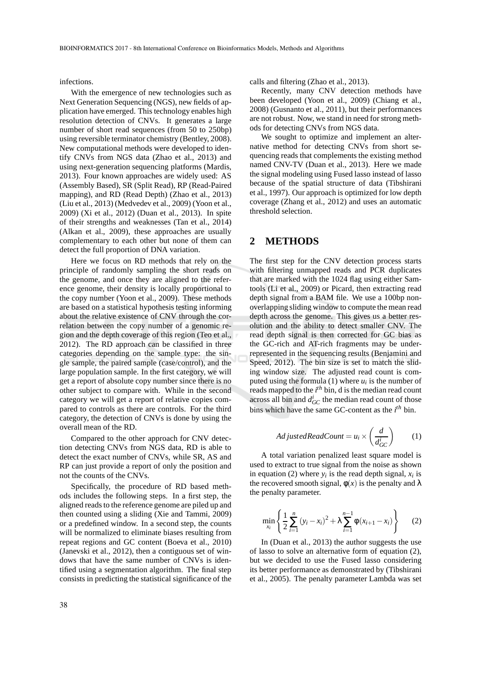infections.

With the emergence of new technologies such as Next Generation Sequencing (NGS), new fields of application have emerged. This technology enables high resolution detection of CNVs. It generates a large number of short read sequences (from 50 to 250bp) using reversible terminator chemistry (Bentley, 2008). New computational methods were developed to identify CNVs from NGS data (Zhao et al., 2013) and using next-generation sequencing platforms (Mardis, 2013). Four known approaches are widely used: AS (Assembly Based), SR (Split Read), RP (Read-Paired mapping), and RD (Read Depth) (Zhao et al., 2013) (Liu et al., 2013) (Medvedev et al., 2009) (Yoon et al., 2009) (Xi et al., 2012) (Duan et al., 2013). In spite of their strengths and weaknesses (Tan et al., 2014) (Alkan et al., 2009), these approaches are usually complementary to each other but none of them can detect the full proportion of DNA variation.

Here we focus on RD methods that rely on the principle of randomly sampling the short reads on the genome, and once they are aligned to the reference genome, their density is locally proportional to the copy number (Yoon et al., 2009). These methods are based on a statistical hypothesis testing informing about the relative existence of CNV through the correlation between the copy number of a genomic region and the depth coverage of this region (Teo et al., 2012). The RD approach can be classified in three categories depending on the sample type: the single sample, the paired sample (case/control), and the large population sample. In the first category, we will get a report of absolute copy number since there is no other subject to compare with. While in the second category we will get a report of relative copies compared to controls as there are controls. For the third category, the detection of CNVs is done by using the overall mean of the RD.

Compared to the other approach for CNV detection detecting CNVs from NGS data, RD is able to detect the exact number of CNVs, while SR, AS and RP can just provide a report of only the position and not the counts of the CNVs.

Specifically, the procedure of RD based methods includes the following steps. In a first step, the aligned reads to the reference genome are piled up and then counted using a sliding (Xie and Tammi, 2009) or a predefined window. In a second step, the counts will be normalized to eliminate biases resulting from repeat regions and GC content (Boeva et al., 2010) (Janevski et al., 2012), then a contiguous set of windows that have the same number of CNVs is identified using a segmentation algorithm. The final step consists in predicting the statistical significance of the

calls and filtering (Zhao et al., 2013).

Recently, many CNV detection methods have been developed (Yoon et al., 2009) (Chiang et al., 2008) (Gusnanto et al., 2011), but their performances are not robust. Now, we stand in need for strong methods for detecting CNVs from NGS data.

We sought to optimize and implement an alternative method for detecting CNVs from short sequencing reads that complements the existing method named CNV-TV (Duan et al., 2013). Here we made the signal modeling using Fused lasso instead of lasso because of the spatial structure of data (Tibshirani et al., 1997). Our approach is optimized for low depth coverage (Zhang et al., 2012) and uses an automatic threshold selection.

#### **2 METHODS**

The first step for the CNV detection process starts with filtering unmapped reads and PCR duplicates that are marked with the 1024 flag using either Samtools (Li et al., 2009) or Picard, then extracting read depth signal from a BAM file. We use a 100bp nonoverlapping sliding window to compute the mean read depth across the genome. This gives us a better resolution and the ability to detect smaller CNV. The read depth signal is then corrected for GC bias as the GC-rich and AT-rich fragments may be underrepresented in the sequencing results (Benjamini and Speed, 2012). The bin size is set to match the sliding window size. The adjusted read count is computed using the formula  $(1)$  where  $u_i$  is the number of reads mapped to the *i*<sup>th</sup> bin, d is the median read count across all bin and  $d_{GC}^i$  the median read count of those bins which have the same GC-content as the *i th* bin.

$$
AdditionalReadCount = u_i \times \left(\frac{d}{d_{GC}^i}\right) \qquad (1)
$$

A total variation penalized least square model is used to extract to true signal from the noise as shown in equation (2) where  $y_i$  is the read depth signal,  $x_i$  is the recovered smooth signal,  $\phi(x)$  is the penalty and  $\lambda$ the penalty parameter.

$$
\min_{x_i} \left\{ \frac{1}{2} \sum_{i=1}^n (y_i - x_i)^2 + \lambda \sum_{i=1}^{n-1} \phi(x_{i+1} - x_i) \right\} \tag{2}
$$

In (Duan et al., 2013) the author suggests the use of lasso to solve an alternative form of equation (2), but we decided to use the Fused lasso considering its better performance as demonstrated by (Tibshirani et al., 2005). The penalty parameter Lambda was set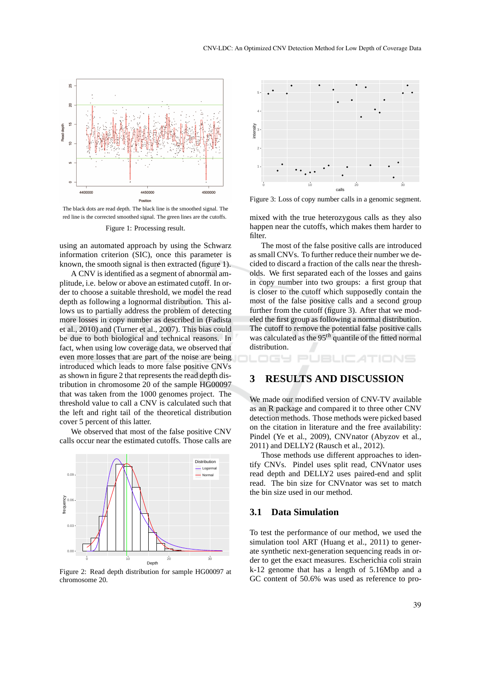

The black dots are read depth. The black line is the smoothed signal. The red line is the corrected smoothed signal. The green lines are the cutoffs.

Figure 1: Processing result.

using an automated approach by using the Schwarz information criterion (SIC), once this parameter is known, the smooth signal is then extracted (figure 1).

A CNV is identified as a segment of abnormal amplitude, i.e. below or above an estimated cutoff. In order to choose a suitable threshold, we model the read depth as following a lognormal distribution. This allows us to partially address the problem of detecting more losses in copy number as described in (Fadista et al., 2010) and (Turner et al., 2007). This bias could be due to both biological and technical reasons. In fact, when using low coverage data, we observed that even more losses that are part of the noise are being introduced which leads to more false positive CNVs as shown in figure 2 that represents the read depth distribution in chromosome 20 of the sample HG00097 that was taken from the 1000 genomes project. The threshold value to call a CNV is calculated such that the left and right tail of the theoretical distribution cover 5 percent of this latter.

We observed that most of the false positive CNV calls occur near the estimated cutoffs. Those calls are



Figure 2: Read depth distribution for sample HG00097 at chromosome 20.



Figure 3: Loss of copy number calls in a genomic segment.

mixed with the true heterozygous calls as they also happen near the cutoffs, which makes them harder to filter.

The most of the false positive calls are introduced as small CNVs. To further reduce their number we decided to discard a fraction of the calls near the thresholds. We first separated each of the losses and gains in copy number into two groups: a first group that is closer to the cutoff which supposedly contain the most of the false positive calls and a second group further from the cutoff (figure 3). After that we modeled the first group as following a normal distribution. The cutoff to remove the potential false positive calls was calculated as the 95*th* quantile of the fitted normal distribution.

#### TIONS

### **3 RESULTS AND DISCUSSION**

We made our modified version of CNV-TV available as an R package and compared it to three other CNV detection methods. Those methods were picked based on the citation in literature and the free availability: Pindel (Ye et al., 2009), CNVnator (Abyzov et al., 2011) and DELLY2 (Rausch et al., 2012).

Those methods use different approaches to identify CNVs. Pindel uses split read, CNVnator uses read depth and DELLY2 uses paired-end and split read. The bin size for CNVnator was set to match the bin size used in our method.

#### **3.1 Data Simulation**

To test the performance of our method, we used the simulation tool ART (Huang et al., 2011) to generate synthetic next-generation sequencing reads in order to get the exact measures. Escherichia coli strain k-12 genome that has a length of 5.16Mbp and a GC content of 50.6% was used as reference to pro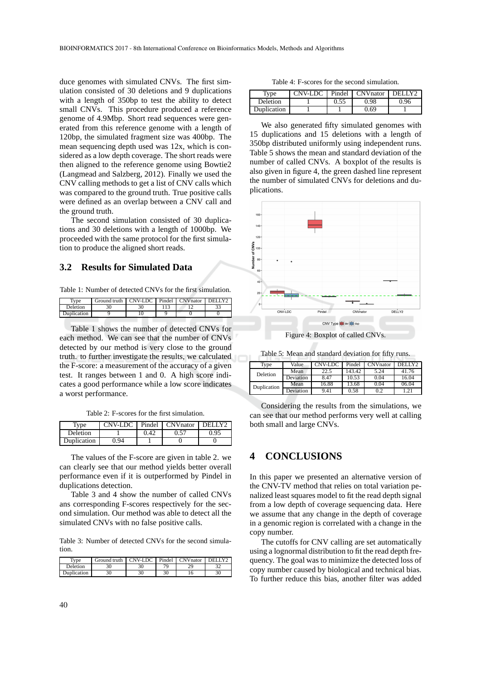duce genomes with simulated CNVs. The first simulation consisted of 30 deletions and 9 duplications with a length of 350bp to test the ability to detect small CNVs. This procedure produced a reference genome of 4.9Mbp. Short read sequences were generated from this reference genome with a length of 120bp, the simulated fragment size was 400bp. The mean sequencing depth used was  $12x$ , which is considered as a low depth coverage. The short reads were then aligned to the reference genome using Bowtie2 (Langmead and Salzberg, 2012). Finally we used the CNV calling methods to get a list of CNV calls which was compared to the ground truth. True positive calls were defined as an overlap between a CNV call and the ground truth.

The second simulation consisted of 30 duplications and 30 deletions with a length of 1000bp. We proceeded with the same protocol for the first simulation to produce the aligned short reads.

#### **3.2 Results for Simulated Data**

Table 1: Number of detected CNVs for the first simulation.

| vne         | Ground truth | CNV-LDC Pindel CNVnator |  | DEL LY2 |
|-------------|--------------|-------------------------|--|---------|
| Deletion    |              |                         |  | $\sim$  |
| Duplication |              |                         |  |         |
|             |              |                         |  |         |

Table 1 shows the number of detected CNVs for each method. We can see that the number of CNVs detected by our method is very close to the ground truth. to further investigate the results, we calculated the F-score: a measurement of the accuracy of a given test. It ranges between 1 and 0. A high score indicates a good performance while a low score indicates a worst performance.

Table 2: F-scores for the first simulation.

| Type        | CNV-LDC | Pindel | <b>CNV</b> nator | DELLY2 |
|-------------|---------|--------|------------------|--------|
| Deletion    |         | 1.42   |                  | 0.95   |
| Duplication | ) 94    |        |                  |        |

The values of the F-score are given in table 2. we can clearly see that our method yields better overall performance even if it is outperformed by Pindel in duplications detection.

Table 3 and 4 show the number of called CNVs ans corresponding F-scores respectively for the second simulation. Our method was able to detect all the simulated CNVs with no false positive calls.

Table 3: Number of detected CNVs for the second simulation.

| vne                 | Ground truth | CNV-LDC 1 | Pindel | <b>CNV</b> nator | DEL LAS |
|---------------------|--------------|-----------|--------|------------------|---------|
| Deletion            |              |           | 70     |                  |         |
| $\Delta$ uplication | οU           |           | 30     |                  | эu      |

Table 4: F-scores for the second simulation.

| Type        | CNV-LDC | Pindel | <b>CNV</b> nator | DELI Y2 |
|-------------|---------|--------|------------------|---------|
| Deletion    |         | 0.55   | 0.98             | 0.96    |
| Duplication |         |        | 0.69             |         |

We also generated fifty simulated genomes with 15 duplications and 15 deletions with a length of 350bp distributed uniformly using independent runs. Table 5 shows the mean and standard deviation of the number of called CNVs. A boxplot of the results is also given in figure 4, the green dashed line represent the number of simulated CNVs for deletions and duplications.



Table 5: Mean and standard deviation for fifty runs.

| Type        | Value     | CNV-LDC | Pindel | $C$ NVnator | DELLY2 |
|-------------|-----------|---------|--------|-------------|--------|
| Deletion    | Mean      | 22.5    | 143.42 | 5.24        | 41.76  |
|             | Deviation | 8.47    | 10.53  | 0.04        | 16.04  |
| Duplication | Mean      | 16.88   | 13.68  | 0.04        | 06.04  |
|             | Deviation | 9.41    | 0.58   | 0.2         |        |

Considering the results from the simulations, we can see that our method performs very well at calling both small and large CNVs.

# **4 CONCLUSIONS**

In this paper we presented an alternative version of the CNV-TV method that relies on total variation penalized least squares model to fit the read depth signal from a low depth of coverage sequencing data. Here we assume that any change in the depth of coverage in a genomic region is correlated with a change in the copy number.

The cutoffs for CNV calling are set automatically using a lognormal distribution to fit the read depth frequency. The goal was to minimize the detected loss of copy number caused by biological and technical bias. To further reduce this bias, another filter was added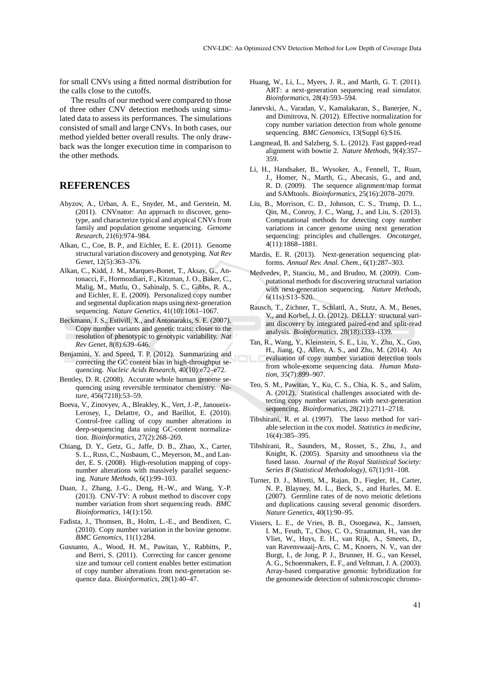for small CNVs using a fitted normal distribution for the calls close to the cutoffs.

The results of our method were compared to those of three other CNV detection methods using simulated data to assess its performances. The simulations consisted of small and large CNVs. In both cases, our method yielded better overall results. The only drawback was the longer execution time in comparison to the other methods.

#### **REFERENCES**

- Abyzov, A., Urban, A. E., Snyder, M., and Gerstein, M. (2011). CNVnator: An approach to discover, genotype, and characterize typical and atypical CNVs from family and population genome sequencing. *Genome Research*, 21(6):974–984.
- Alkan, C., Coe, B. P., and Eichler, E. E. (2011). Genome structural variation discovery and genotyping. *Nat Rev Genet*, 12(5):363–376.
- Alkan, C., Kidd, J. M., Marques-Bonet, T., Aksay, G., Antonacci, F., Hormozdiari, F., Kitzman, J. O., Baker, C., Malig, M., Mutlu, O., Sahinalp, S. C., Gibbs, R. A., and Eichler, E. E. (2009). Personalized copy number and segmental duplication maps using next-generation sequencing. *Nature Genetics*, 41(10):1061–1067.
- Beckmann, J. S., Estivill, X., and Antonarakis, S. E. (2007). Copy number variants and genetic traits: closer to the resolution of phenotypic to genotypic variability. *Nat Rev Genet*, 8(8):639–646.
- Benjamini, Y. and Speed, T. P. (2012). Summarizing and correcting the GC content bias in high-throughput sequencing. *Nucleic Acids Research*, 40(10):e72–e72.
- Bentley, D. R. (2008). Accurate whole human genome sequencing using reversible terminator chemistry. *Nature*, 456(7218):53–59.
- Boeva, V., Zinovyev, A., Bleakley, K., Vert, J.-P., Janoueix-Lerosey, I., Delattre, O., and Barillot, E. (2010). Control-free calling of copy number alterations in deep-sequencing data using GC-content normalization. *Bioinformatics*, 27(2):268–269.
- Chiang, D. Y., Getz, G., Jaffe, D. B., Zhao, X., Carter, S. L., Russ, C., Nusbaum, C., Meyerson, M., and Lander, E. S. (2008). High-resolution mapping of copynumber alterations with massively parallel sequencing. *Nature Methods*, 6(1):99–103.
- Duan, J., Zhang, J.-G., Deng, H.-W., and Wang, Y.-P. (2013). CNV-TV: A robust method to discover copy number variation from short sequencing reads. *BMC Bioinformatics*, 14(1):150.
- Fadista, J., Thomsen, B., Holm, L.-E., and Bendixen, C. (2010). Copy number variation in the bovine genome. *BMC Genomics*, 11(1):284.
- Gusnanto, A., Wood, H. M., Pawitan, Y., Rabbitts, P., and Berri, S. (2011). Correcting for cancer genome size and tumour cell content enables better estimation of copy number alterations from next-generation sequence data. *Bioinformatics*, 28(1):40–47.
- Huang, W., Li, L., Myers, J. R., and Marth, G. T. (2011). ART: a next-generation sequencing read simulator. *Bioinformatics*, 28(4):593–594.
- Janevski, A., Varadan, V., Kamalakaran, S., Banerjee, N., and Dimitrova, N. (2012). Effective normalization for copy number variation detection from whole genome sequencing. *BMC Genomics*, 13(Suppl 6):S16.
- Langmead, B. and Salzberg, S. L. (2012). Fast gapped-read alignment with bowtie 2. *Nature Methods*, 9(4):357– 359.
- Li, H., Handsaker, B., Wysoker, A., Fennell, T., Ruan, J., Homer, N., Marth, G., Abecasis, G., and and, R. D. (2009). The sequence alignment/map format and SAMtools. *Bioinformatics*, 25(16):2078–2079.
- Liu, B., Morrison, C. D., Johnson, C. S., Trump, D. L., Qin, M., Conroy, J. C., Wang, J., and Liu, S. (2013). Computational methods for detecting copy number variations in cancer genome using next generation sequencing: principles and challenges. *Oncotarget*, 4(11):1868–1881.
- Mardis, E. R. (2013). Next-generation sequencing platforms. *Annual Rev. Anal. Chem.*, 6(1):287–303.
- Medvedev, P., Stanciu, M., and Brudno, M. (2009). Computational methods for discovering structural variation with next-generation sequencing. *Nature Methods*, 6(11s):S13–S20.
- Rausch, T., Zichner, T., Schlattl, A., Stutz, A. M., Benes, V., and Korbel, J. O. (2012). DELLY: structural variant discovery by integrated paired-end and split-read analysis. *Bioinformatics*, 28(18):i333–i339.
- Tan, R., Wang, Y., Kleinstein, S. E., Liu, Y., Zhu, X., Guo, H., Jiang, Q., Allen, A. S., and Zhu, M. (2014). An evaluation of copy number variation detection tools from whole-exome sequencing data. *Human Mutation*, 35(7):899–907.
- Teo, S. M., Pawitan, Y., Ku, C. S., Chia, K. S., and Salim, A. (2012). Statistical challenges associated with detecting copy number variations with next-generation sequencing. *Bioinformatics*, 28(21):2711–2718.
- Tibshirani, R. et al. (1997). The lasso method for variable selection in the cox model. *Statistics in medicine*, 16(4):385–395.
- Tibshirani, R., Saunders, M., Rosset, S., Zhu, J., and Knight, K. (2005). Sparsity and smoothness via the fused lasso. *Journal of the Royal Statistical Society: Series B (Statistical Methodology)*, 67(1):91–108.
- Turner, D. J., Miretti, M., Rajan, D., Fiegler, H., Carter, N. P., Blayney, M. L., Beck, S., and Hurles, M. E. (2007). Germline rates of de novo meiotic deletions and duplications causing several genomic disorders. *Nature Genetics*, 40(1):90–95.
- Vissers, L. E., de Vries, B. B., Osoegawa, K., Janssen, I. M., Feuth, T., Choy, C. O., Straatman, H., van der Vliet, W., Huys, E. H., van Rijk, A., Smeets, D., van Ravenswaaij-Arts, C. M., Knoers, N. V., van der Burgt, I., de Jong, P. J., Brunner, H. G., van Kessel, A. G., Schoenmakers, E. F., and Veltman, J. A. (2003). Array-based comparative genomic hybridization for the genomewide detection of submicroscopic chromo-